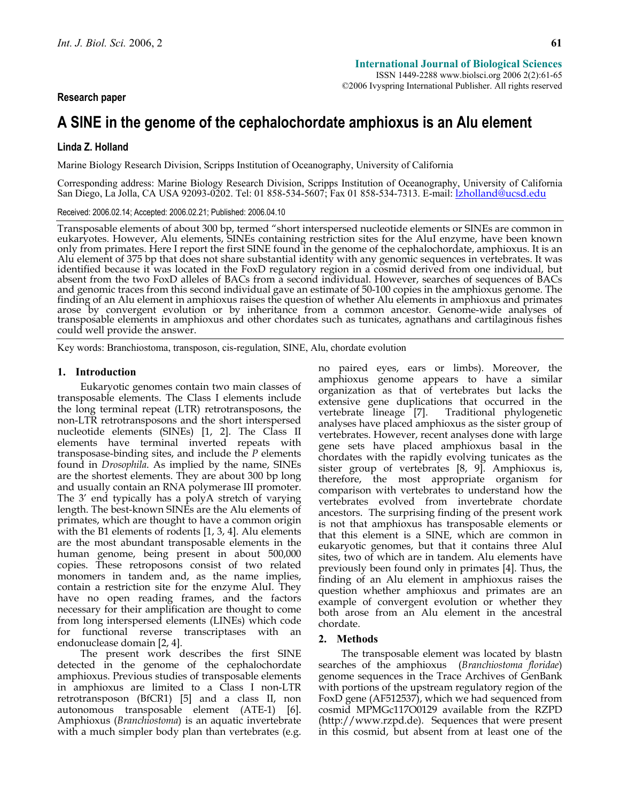# **A SINE in the genome of the cephalochordate amphioxus is an Alu element**

# **Linda Z. Holland**

Marine Biology Research Division, Scripps Institution of Oceanography, University of California

Corresponding address: Marine Biology Research Division, Scripps Institution of Oceanography, University of California San Diego, La Jolla, CA USA 92093-0202. Tel: 01 858-534-5607; Fax 01 858-534-7313. E-mail: lzholland@ucsd.edu

Received: 2006.02.14; Accepted: 2006.02.21; Published: 2006.04.10

Transposable elements of about 300 bp, termed "short interspersed nucleotide elements or SINEs are common in eukaryotes. However, Alu elements, SINEs containing restriction sites for the AluI enzyme, have been known only from primates. Here I report the first SINE found in the genome of the cephalochordate, amphioxus. It is an Alu element of 375 bp that does not share substantial identity with any genomic sequences in vertebrates. It was identified because it was located in the FoxD regulatory region in a cosmid derived from one individual, but absent from the two FoxD alleles of BACs from a second individual. However, searches of sequences of BACs and genomic traces from this second individual gave an estimate of 50-100 copies in the amphioxus genome. The<br>finding of an Alu element in amphioxus raises the question of whether Alu elements in amphioxus and primates arose by convergent evolution or by inheritance from a common ancestor. Genome-wide analyses of transposable elements in amphioxus and other chordates such as tunicates, agnathans and cartilaginous fishes could well provide the answer.

Key words: Branchiostoma, transposon, cis-regulation, SINE, Alu, chordate evolution

#### **1. Introduction**

Eukaryotic genomes contain two main classes of transposable elements. The Class I elements include the long terminal repeat (LTR) retrotransposons, the non-LTR retrotransposons and the short interspersed nucleotide elements (SINEs) [1, 2]. The Class II elements have terminal inverted repeats with transposase-binding sites, and include the *P* elements found in *Drosophila*. As implied by the name, SINEs are the shortest elements. They are about 300 bp long and usually contain an RNA polymerase III promoter. The 3' end typically has a polyA stretch of varying length. The best-known SINEs are the Alu elements of primates, which are thought to have a common origin with the B1 elements of rodents [1, 3, 4]. Alu elements are the most abundant transposable elements in the human genome, being present in about 500,000 copies. These retroposons consist of two related monomers in tandem and, as the name implies, contain a restriction site for the enzyme AluI. They have no open reading frames, and the factors necessary for their amplification are thought to come from long interspersed elements (LINEs) which code for functional reverse transcriptases with an endonuclease domain [2, 4].

The present work describes the first SINE detected in the genome of the cephalochordate amphioxus. Previous studies of transposable elements in amphioxus are limited to a Class I non-LTR retrotransposon (BfCR1) [5] and a class II, non autonomous transposable element (ATE-1) [6]. Amphioxus (*Branchiostoma*) is an aquatic invertebrate with a much simpler body plan than vertebrates (e.g.

no paired eyes, ears or limbs). Moreover, the amphioxus genome appears to have a similar organization as that of vertebrates but lacks the extensive gene duplications that occurred in the vertebrate lineage [7]. Traditional phylogenetic analyses have placed amphioxus as the sister group of vertebrates. However, recent analyses done with large gene sets have placed amphioxus basal in the chordates with the rapidly evolving tunicates as the sister group of vertebrates [8, 9]. Amphioxus is, therefore, the most appropriate organism for comparison with vertebrates to understand how the vertebrates evolved from invertebrate chordate ancestors. The surprising finding of the present work is not that amphioxus has transposable elements or that this element is a SINE, which are common in eukaryotic genomes, but that it contains three AluI sites, two of which are in tandem. Alu elements have previously been found only in primates [4]. Thus, the finding of an Alu element in amphioxus raises the question whether amphioxus and primates are an example of convergent evolution or whether they both arose from an Alu element in the ancestral chordate.

### **2. Methods**

The transposable element was located by blastn searches of the amphioxus (*Branchiostoma floridae*) genome sequences in the Trace Archives of GenBank with portions of the upstream regulatory region of the FoxD gene (AF512537), which we had sequenced from cosmid MPMGc117O0129 available from the RZPD (http://www.rzpd.de). Sequences that were present in this cosmid, but absent from at least one of the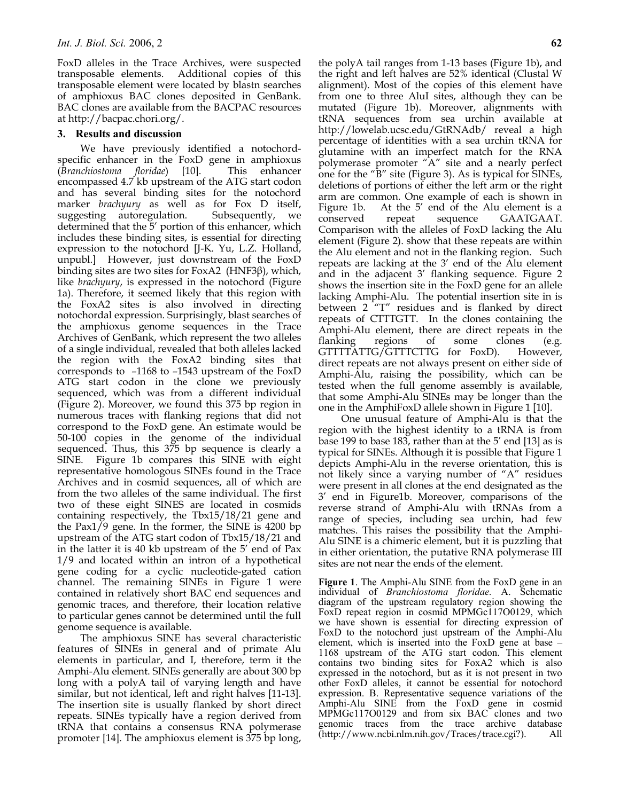FoxD alleles in the Trace Archives, were suspected transposable elements. Additional copies of this transposable element were located by blastn searches of amphioxus BAC clones deposited in GenBank. BAC clones are available from the BACPAC resources at http://bacpac.chori.org/.

## **3. Results and discussion**

We have previously identified a notochordspecific enhancer in the FoxD gene in amphioxus (*Branchiostoma floridae*) [10]. This enhancer encompassed 4.7 kb upstream of the ATG start codon and has several binding sites for the notochord marker *brachyury* as well as for Fox D itself, suggesting autoregulation. Subsequently, we determined that the 5' portion of this enhancer, which includes these binding sites, is essential for directing expression to the notochord [J-K. Yu, L.Z. Holland, unpubl.] However, just downstream of the FoxD binding sites are two sites for FoxA2 (HNF3β), which, like *brachyury*, is expressed in the notochord (Figure 1a). Therefore, it seemed likely that this region with the FoxA2 sites is also involved in directing notochordal expression. Surprisingly, blast searches of the amphioxus genome sequences in the Trace Archives of GenBank, which represent the two alleles of a single individual, revealed that both alleles lacked the region with the FoxA2 binding sites that corresponds to –1168 to –1543 upstream of the FoxD ATG start codon in the clone we previously sequenced, which was from a different individual (Figure 2). Moreover, we found this 375 bp region in numerous traces with flanking regions that did not correspond to the FoxD gene. An estimate would be 50-100 copies in the genome of the individual sequenced. Thus, this 375 bp sequence is clearly a SINE. Figure 1b compares this SINE with eight representative homologous SINEs found in the Trace Archives and in cosmid sequences, all of which are from the two alleles of the same individual. The first two of these eight SINES are located in cosmids containing respectively, the Tbx15/18/21 gene and the Pax1/9 gene. In the former, the SINE is 4200 bp upstream of the ATG start codon of Tbx15/18/21 and in the latter it is 40 kb upstream of the 5' end of Pax 1/9 and located within an intron of a hypothetical gene coding for a cyclic nucleotide-gated cation channel. The remaining SINEs in Figure 1 were contained in relatively short BAC end sequences and genomic traces, and therefore, their location relative to particular genes cannot be determined until the full genome sequence is available.

The amphioxus SINE has several characteristic features of SINEs in general and of primate Alu elements in particular, and I, therefore, term it the Amphi-Alu element. SINEs generally are about 300 bp long with a polyA tail of varying length and have similar, but not identical, left and right halves [11-13]. The insertion site is usually flanked by short direct repeats. SINEs typically have a region derived from tRNA that contains a consensus RNA polymerase promoter [14]. The amphioxus element is 375 bp long,

the polyA tail ranges from 1-13 bases (Figure 1b), and the right and left halves are 52% identical (Clustal W alignment). Most of the copies of this element have from one to three AluI sites, although they can be mutated (Figure 1b). Moreover, alignments with tRNA sequences from sea urchin available at http://lowelab.ucsc.edu/GtRNAdb/ reveal a high percentage of identities with a sea urchin tRNA for glutamine with an imperfect match for the RNA polymerase promoter "A" site and a nearly perfect one for the "B" site (Figure 3). As is typical for SINEs, deletions of portions of either the left arm or the right arm are common. One example of each is shown in Figure 1b. At the 5' end of the Alu element is a conserved repeat sequence GAATGAAT. Comparison with the alleles of FoxD lacking the Alu element (Figure 2). show that these repeats are within the Alu element and not in the flanking region. Such repeats are lacking at the 3' end of the Alu element and in the adjacent 3' flanking sequence. Figure 2 shows the insertion site in the FoxD gene for an allele lacking Amphi-Alu. The potential insertion site in is between 2<sup>"</sup>T" residues and is flanked by direct repeats of CTTTGTT. In the clones containing the Amphi-Alu element, there are direct repeats in the flanking regions of some clones (e.g. GTTTTATTG/GTTTCTTG for FoxD). However, direct repeats are not always present on either side of Amphi-Alu, raising the possibility, which can be tested when the full genome assembly is available, that some Amphi-Alu SINEs may be longer than the one in the AmphiFoxD allele shown in Figure 1 [10].

One unusual feature of Amphi-Alu is that the region with the highest identity to a tRNA is from base 199 to base 183, rather than at the 5' end [13] as is typical for SINEs. Although it is possible that Figure 1 depicts Amphi-Alu in the reverse orientation, this is not likely since a varying number of "A" residues were present in all clones at the end designated as the 3' end in Figure1b. Moreover, comparisons of the reverse strand of Amphi-Alu with tRNAs from a range of species, including sea urchin, had few matches. This raises the possibility that the Amphi-Alu SINE is a chimeric element, but it is puzzling that in either orientation, the putative RNA polymerase III sites are not near the ends of the element.

**Figure 1**. The Amphi-Alu SINE from the FoxD gene in an individual of *Branchiostoma floridae.* A. Schematic diagram of the upstream regulatory region showing the FoxD repeat region in cosmid MPMGc117O0129, which we have shown is essential for directing expression of FoxD to the notochord just upstream of the Amphi-Alu element, which is inserted into the FoxD gene at base – 1168 upstream of the ATG start codon. This element contains two binding sites for FoxA2 which is also expressed in the notochord, but as it is not present in two other FoxD alleles, it cannot be essential for notochord expression. B. Representative sequence variations of the Amphi-Alu SINE from the FoxD gene in cosmid MPMGc117O0129 and from six BAC clones and two genomic traces from the trace archive database (http://www.ncbi.nlm.nih.gov/Traces/trace.cgi?). All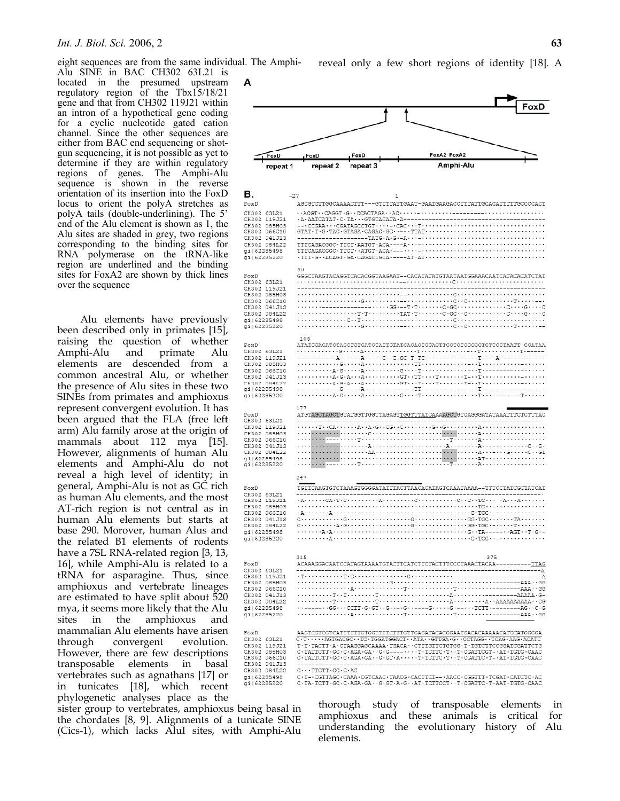eight sequences are from the same individual. The Amphi-Alu SINE in BAC CH302 63L21 is located in the presumed upstream regulatory region of the Tbx15/18/21 gene and that from CH302 119J21 within an intron of a hypothetical gene coding for a cyclic nucleotide gated cation channel. Since the other sequences are either from BAC end sequencing or shotgun sequencing, it is not possible as yet to determine if they are within regulatory regions of genes. The Amphi-Alu sequence is shown in the reverse orientation of its insertion into the FoxD locus to orient the polyA stretches as polyA tails (double-underlining). The 5' end of the Alu element is shown as 1, the Alu sites are shaded in grey, two regions corresponding to the binding sites for RNA polymerase on the tRNA-like region are underlined and the binding sites for FoxA2 are shown by thick lines over the sequence

Alu elements have previously been described only in primates [15], raising the question of whether Amphi-Alu and primate Alu elements are descended from a common ancestral Alu, or whether the presence of Alu sites in these two SINEs from primates and amphioxus represent convergent evolution. It has been argued that the FLA (free left arm) Alu family arose at the origin of mammals about 112 mya [15]. However, alignments of human Alu elements and Amphi-Alu do not reveal a high level of identity; in general, Amphi-Alu is not as GC rich as human Alu elements, and the most AT-rich region is not central as in human Alu elements but starts at base 290. Morover, human Alus and the related B1 elements of rodents have a 7SL RNA-related region [3, 13, 16], while Amphi-Alu is related to a tRNA for asparagine. Thus, since amphioxus and vertebrate lineages are estimated to have split about 520 mya, it seems more likely that the Alu sites in the amphioxus and mammalian Alu elements have arisen through convergent evolution. However, there are few descriptions transposable elements in basal vertebrates such as agnathans [17] or in tunicates [18], which recent phylogenetic analyses place as the

sister group to vertebrates, amphioxus being basal in the chordates [8, 9]. Alignments of a tunicate SINE (Cics-1), which lacks AluI sites, with Amphi-Alu

reveal only a few short regions of identity [18]. A



thorough study of transposable elements in amphioxus and these animals is critical for understanding the evolutionary history of Alu elements.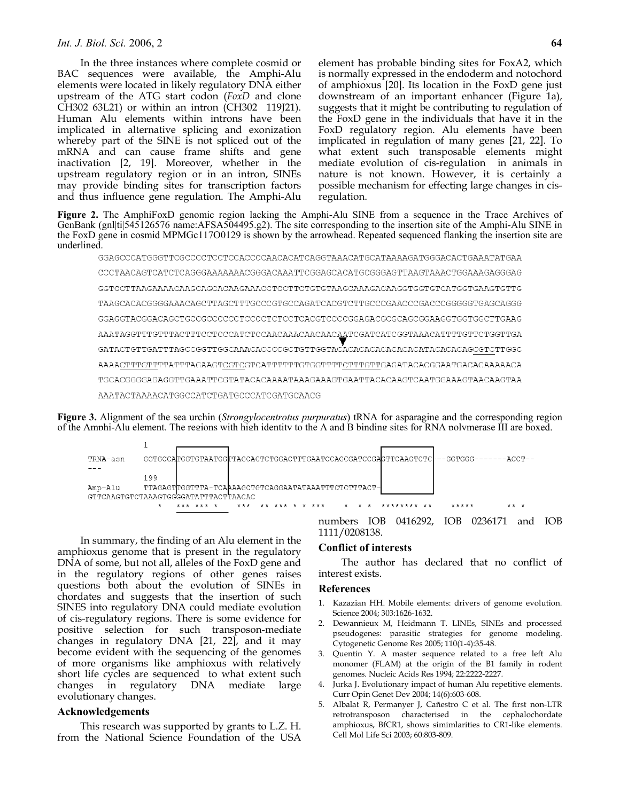In the three instances where complete cosmid or BAC sequences were available, the Amphi-Alu elements were located in likely regulatory DNA either upstream of the ATG start codon (*FoxD* and clone CH302 63L21) or within an intron (CH302 119J21). Human Alu elements within introns have been implicated in alternative splicing and exonization whereby part of the SINE is not spliced out of the mRNA and can cause frame shifts and gene inactivation [2, 19]. Moreover, whether in the upstream regulatory region or in an intron, SINEs may provide binding sites for transcription factors and thus influence gene regulation. The Amphi-Alu element has probable binding sites for FoxA2, which is normally expressed in the endoderm and notochord of amphioxus [20]. Its location in the FoxD gene just downstream of an important enhancer (Figure 1a), suggests that it might be contributing to regulation of the FoxD gene in the individuals that have it in the FoxD regulatory region. Alu elements have been implicated in regulation of many genes [21, 22]. To what extent such transposable elements might mediate evolution of cis-regulation in animals in nature is not known. However, it is certainly a possible mechanism for effecting large changes in cisregulation.

**Figure 2.** The AmphiFoxD genomic region lacking the Amphi-Alu SINE from a sequence in the Trace Archives of GenBank (gnl|ti|545126576 name:AFSA504495.g2). The site corresponding to the insertion site of the Amphi-Alu SINE in the FoxD gene in cosmid MPMGc117O0129 is shown by the arrowhead. Repeated sequenced flanking the insertion site are underlined.

| GGAGCCCATGGGTTCGCCCCTCCTCCACCCCAACACATCAGGTAAACATGCATAAAGGTGGGACACTGAAATTGTGAA       |
|--------------------------------------------------------------------------------------|
| CCCTAACAGTCATCTCAGGGAAAAAAACGGGACAAATTCGGAGCACATGCGGGAGTTAAGTAAACTGGAAAGAGGGAG       |
| GGTCCTTAAGAAAACAAGCAGCACAAGAAACCTCCTTCTGTGTAAGCAAAGACAAGGTGGTGTCATGGTGAAGTGTTG       |
| TAAGCACACGGGGAAACAGCTTAGCTTGCCCGTGCCAGATCACGTCTTGCCCGAACCCGACCCGGGGGGTGAGCAGGG       |
| GGAGGTACGGACAGCTGCCGCCCCCCTCCCCTTCCCTCACGTCCCCGGAGACGCGCAGACGCGAAGGTGGTGCTTGGCTTGAAG |
| AAATAGGTTTGTTTACTTCCTCCCATCTCCAACAAACAACAACAATCGATCATCGGTAAACATTTTGTTCTGGTTGA        |
|                                                                                      |
| AAAACTTTGTTTTATTTAGAAGTCGTCGTCATTTTTTGTGGTTTTCTTTGTTGAGATACACGGAATGACACAAAAACA       |
|                                                                                      |
| AAATACTAAAACATGGCCATCTGATGCCCATCGATGCAACG                                            |

**Figure 3.** Alignment of the sea urchin (*Strongylocentrotus purpuratus*) tRNA for asparagine and the corresponding region of the Amphi-Alu element. The regions with high identity to the A and B binding sites for RNA polymerase III are boxed.



In summary, the finding of an Alu element in the amphioxus genome that is present in the regulatory DNA of some, but not all, alleles of the FoxD gene and in the regulatory regions of other genes raises questions both about the evolution of SINEs in chordates and suggests that the insertion of such SINES into regulatory DNA could mediate evolution of cis-regulatory regions. There is some evidence for positive selection for such transposon-mediate changes in regulatory DNA [21, 22], and it may become evident with the sequencing of the genomes of more organisms like amphioxus with relatively short life cycles are sequenced to what extent such changes in regulatory DNA mediate large evolutionary changes.

#### **Acknowledgements**

This research was supported by grants to L.Z. H. from the National Science Foundation of the USA numbers IOB 0416292, IOB 0236171 and IOB 1111/0208138.

# **Conflict of interests**

The author has declared that no conflict of interest exists.

#### **References**

- 1. Kazazian HH. Mobile elements: drivers of genome evolution. Science 2004; 303:1626-1632.
- 2. Dewannieux M, Heidmann T. LINEs, SINEs and processed pseudogenes: parasitic strategies for genome modeling. Cytogenetic Genome Res 2005; 110(1-4):35-48.
- 3. Quentin Y. A master sequence related to a free left Alu monomer (FLAM) at the origin of the B1 family in rodent genomes. Nucleic Acids Res 1994; 22:2222-2227.
- 4. Jurka J. Evolutionary impact of human Alu repetitive elements. Curr Opin Genet Dev 2004; 14(6):603-608.
- 5. Albalat R, Permanyer J, Cañestro C et al. The first non-LTR retrotransposon characterised in the cephalochordate amphioxus, BfCR1, shows simimlarities to CR1-like elements. Cell Mol Life Sci 2003; 60:803-809.